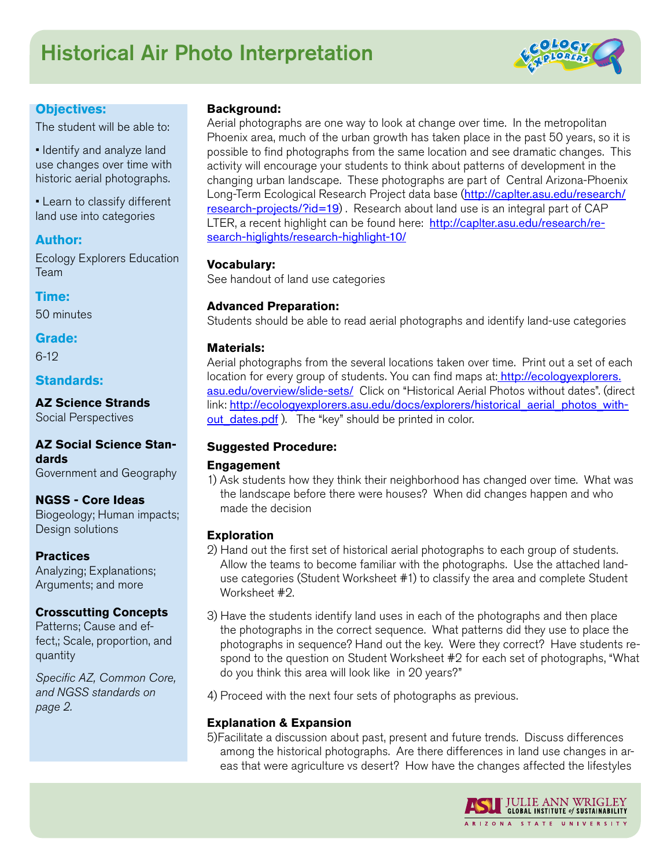# Historical Air Photo Interpretation



#### **Objectives:**

The student will be able to:

• Identify and analyze land use changes over time with historic aerial photographs.

• Learn to classify different land use into categories

#### **Author:**

Ecology Explorers Education Team

### **Time:**

50 minutes

#### **Grade:**

6-12

#### **Standards:**

**AZ Science Strands** Social Perspectives

#### **AZ Social Science Standards** Government and Geography

**NGSS - Core Ideas** Biogeology; Human impacts; Design solutions

**Practices** Analyzing; Explanations; Arguments; and more

#### **Crosscutting Concepts**

Patterns; Cause and effect,; Scale, proportion, and quantity

*Specific AZ, Common Core, and NGSS standards on page 2.*

#### **Background:**

Aerial photographs are one way to look at change over time. In the metropolitan Phoenix area, much of the urban growth has taken place in the past 50 years, so it is possible to find photographs from the same location and see dramatic changes. This activity will encourage your students to think about patterns of development in the changing urban landscape. These photographs are part of Central Arizona-Phoenix Long-Term Ecological Research Project data base ([http://caplter.asu.edu/research/](http://caplter.asu.edu/research/research-projects/?id=19) [research-projects/?id=19](http://caplter.asu.edu/research/research-projects/?id=19)). Research about land use is an integral part of CAP LTER, a recent highlight can be found here: [http://caplter.asu.edu/research/re](http://caplter.asu.edu/research/research-higlights/research-highlight-10/)[search-higlights/research-highlight-10/](http://caplter.asu.edu/research/research-higlights/research-highlight-10/)

#### **Vocabulary:**

See handout of land use categories

#### **Advanced Preparation:**

Students should be able to read aerial photographs and identify land-use categories

#### **Materials:**

Aerial photographs from the several locations taken over time. Print out a set of each location for every group of students. You can find maps at: [http://ecologyexplorers.](http://ecologyexplorers.asu.edu/overview/slide-sets/) [asu.edu/overview/slide-sets/](http://ecologyexplorers.asu.edu/overview/slide-sets/) Click on "Historical Aerial Photos without dates". (direct link: [http://ecologyexplorers.asu.edu/docs/explorers/historical\\_aerial\\_photos\\_with](http://ecologyexplorers.asu.edu/docs/explorers/historical_aerial_photos_without_dates.pdf)out dates.pdf ). The "key" should be printed in color.

#### **Suggested Procedure:**

#### **Engagement**

1) Ask students how they think their neighborhood has changed over time. What was the landscape before there were houses? When did changes happen and who made the decision

#### **Exploration**

- 2) Hand out the first set of historical aerial photographs to each group of students. Allow the teams to become familiar with the photographs. Use the attached landuse categories (Student Worksheet #1) to classify the area and complete Student Worksheet #2.
- 3) Have the students identify land uses in each of the photographs and then place the photographs in the correct sequence. What patterns did they use to place the photographs in sequence? Hand out the key. Were they correct? Have students respond to the question on Student Worksheet #2 for each set of photographs, "What do you think this area will look like in 20 years?"

4) Proceed with the next four sets of photographs as previous.

#### **Explanation & Expansion**

5)Facilitate a discussion about past, present and future trends. Discuss differences among the historical photographs. Are there differences in land use changes in areas that were agriculture vs desert? How have the changes affected the lifestyles

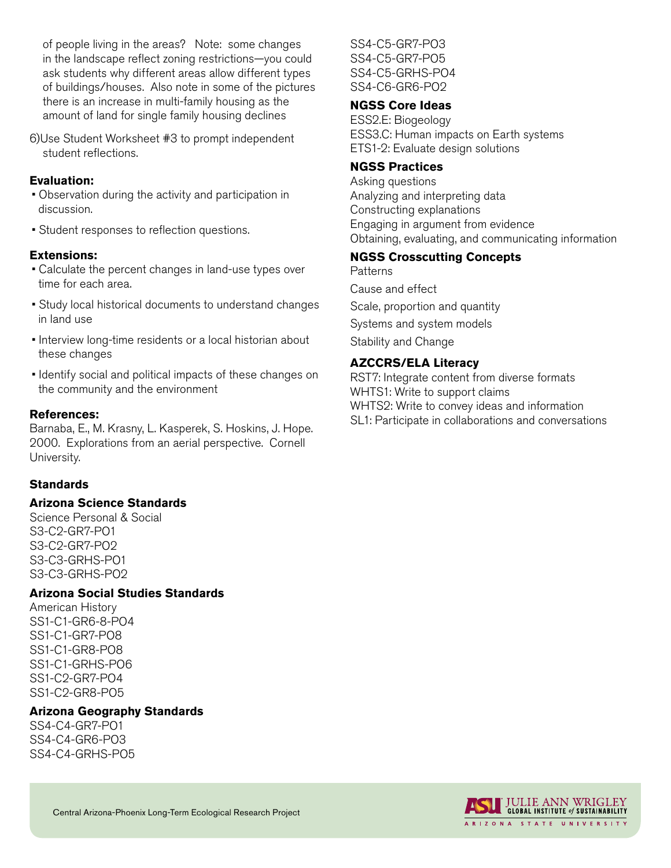of people living in the areas? Note: some changes in the landscape reflect zoning restrictions—you could ask students why different areas allow different types of buildings/houses. Also note in some of the pictures there is an increase in multi-family housing as the amount of land for single family housing declines

6)Use Student Worksheet #3 to prompt independent student reflections.

#### **Evaluation:**

- Observation during the activity and participation in discussion.
- Student responses to reflection questions.

#### **Extensions:**

- Calculate the percent changes in land-use types over time for each area.
- Study local historical documents to understand changes in land use
- Interview long-time residents or a local historian about these changes
- Identify social and political impacts of these changes on the community and the environment

#### **References:**

Barnaba, E., M. Krasny, L. Kasperek, S. Hoskins, J. Hope. 2000. Explorations from an aerial perspective. Cornell University.

#### **Standards**

#### **Arizona Science Standards**

Science Personal & Social S3-C2-GR7-PO1 S3-C2-GR7-PO2 S3-C3-GRHS-PO1 S3-C3-GRHS-PO2

#### **Arizona Social Studies Standards**

American History SS1-C1-GR6-8-PO4 SS1-C1-GR7-PO8 SS1-C1-GR8-PO8 SS1-C1-GRHS-PO6 SS1-C2-GR7-PO4 SS1-C2-GR8-PO5

#### **Arizona Geography Standards**

SS4-C4-GR7-PO1 SS4-C4-GR6-PO3 SS4-C4-GRHS-PO5 SS4-C5-GR7-PO3 SS4-C5-GR7-PO5 SS4-C5-GRHS-PO4 SS4-C6-GR6-PO2

#### **NGSS Core Ideas**

ESS2.E: Biogeology ESS3.C: Human impacts on Earth systems ETS1-2: Evaluate design solutions

#### **NGSS Practices**

Asking questions Analyzing and interpreting data Constructing explanations Engaging in argument from evidence Obtaining, evaluating, and communicating information

#### **NGSS Crosscutting Concepts**

**Patterns** Cause and effect Scale, proportion and quantity Systems and system models Stability and Change

#### **AZCCRS/ELA Literacy**

RST7: Integrate content from diverse formats WHTS1: Write to support claims WHTS2: Write to convey ideas and information SL1: Participate in collaborations and conversations

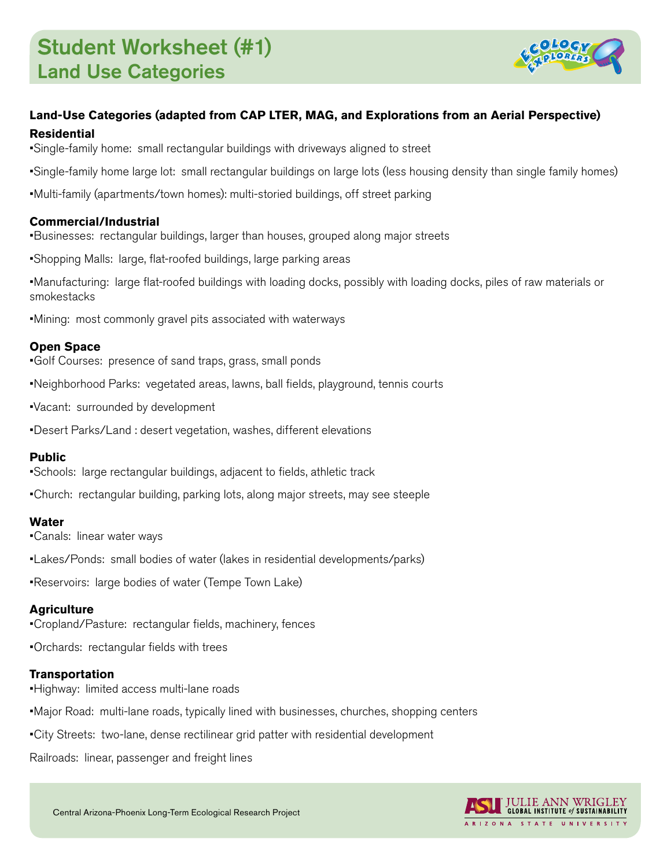

#### **Land-Use Categories (adapted from CAP LTER, MAG, and Explorations from an Aerial Perspective) Residential**

•Single-family home: small rectangular buildings with driveways aligned to street

•Single-family home large lot: small rectangular buildings on large lots (less housing density than single family homes)

•Multi-family (apartments/town homes): multi-storied buildings, off street parking

#### **Commercial/Industrial**

•Businesses: rectangular buildings, larger than houses, grouped along major streets

•Shopping Malls: large, flat-roofed buildings, large parking areas

•Manufacturing: large flat-roofed buildings with loading docks, possibly with loading docks, piles of raw materials or smokestacks

•Mining: most commonly gravel pits associated with waterways

#### **Open Space**

•Golf Courses: presence of sand traps, grass, small ponds

- •Neighborhood Parks: vegetated areas, lawns, ball fields, playground, tennis courts
- •Vacant: surrounded by development
- •Desert Parks/Land : desert vegetation, washes, different elevations

#### **Public**

- •Schools: large rectangular buildings, adjacent to fields, athletic track
- •Church: rectangular building, parking lots, along major streets, may see steeple

#### **Water**

- •Canals: linear water ways
- •Lakes/Ponds: small bodies of water (lakes in residential developments/parks)

•Reservoirs: large bodies of water (Tempe Town Lake)

#### **Agriculture**

•Cropland/Pasture: rectangular fields, machinery, fences

•Orchards: rectangular fields with trees

#### **Transportation**

- •Highway: limited access multi-lane roads
- •Major Road: multi-lane roads, typically lined with businesses, churches, shopping centers
- •City Streets: two-lane, dense rectilinear grid patter with residential development

Railroads: linear, passenger and freight lines

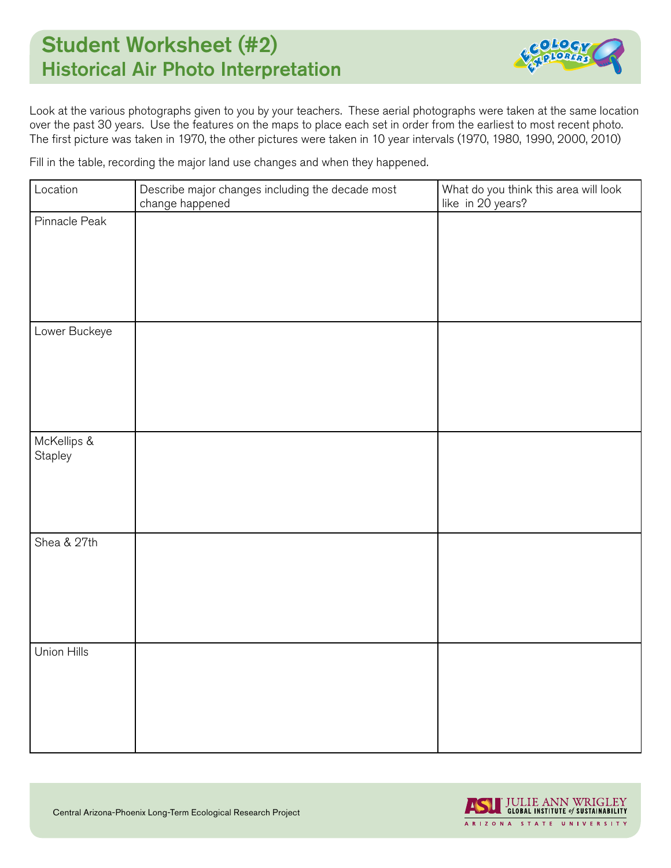## Student Worksheet (#2) Historical Air Photo Interpretation



Look at the various photographs given to you by your teachers. These aerial photographs were taken at the same location over the past 30 years. Use the features on the maps to place each set in order from the earliest to most recent photo. The first picture was taken in 1970, the other pictures were taken in 10 year intervals (1970, 1980, 1990, 2000, 2010)

Fill in the table, recording the major land use changes and when they happened.

| Location               | Describe major changes including the decade most<br>change happened | What do you think this area will look<br>like in 20 years? |
|------------------------|---------------------------------------------------------------------|------------------------------------------------------------|
| Pinnacle Peak          |                                                                     |                                                            |
|                        |                                                                     |                                                            |
|                        |                                                                     |                                                            |
|                        |                                                                     |                                                            |
| Lower Buckeye          |                                                                     |                                                            |
|                        |                                                                     |                                                            |
|                        |                                                                     |                                                            |
|                        |                                                                     |                                                            |
| McKellips &<br>Stapley |                                                                     |                                                            |
|                        |                                                                     |                                                            |
|                        |                                                                     |                                                            |
| Shea & 27th            |                                                                     |                                                            |
|                        |                                                                     |                                                            |
|                        |                                                                     |                                                            |
|                        |                                                                     |                                                            |
| Union Hills            |                                                                     |                                                            |
|                        |                                                                     |                                                            |
|                        |                                                                     |                                                            |
|                        |                                                                     |                                                            |
|                        |                                                                     |                                                            |